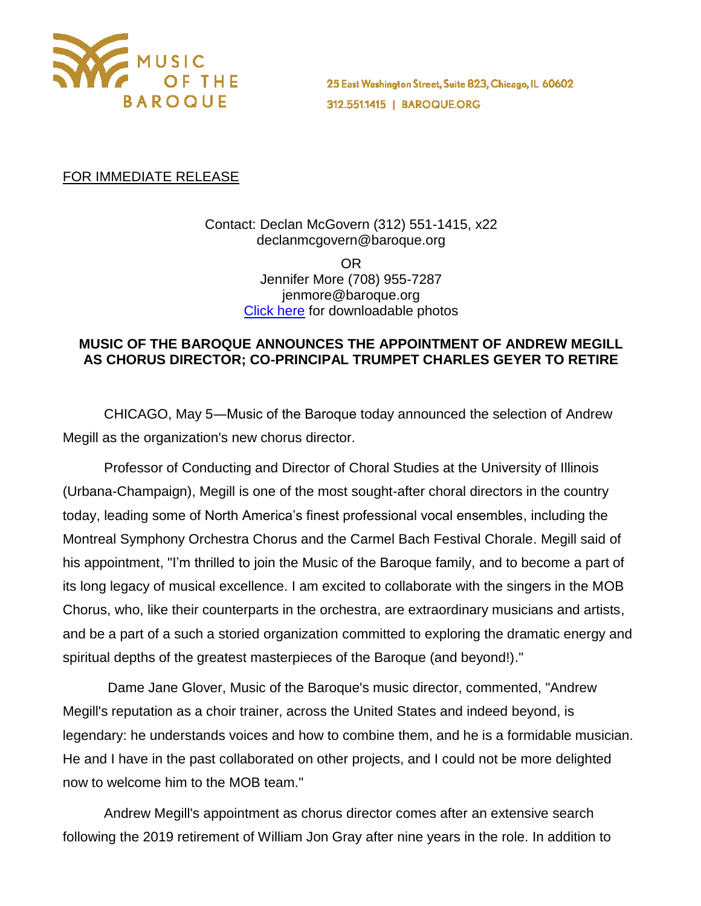

## FOR IMMEDIATE RELEASE

## Contact: Declan McGovern (312) 551-1415, x22 [declanmcgovern@baroque.org](mailto:declanmcgovern@baroque.org)

OR Jennifer More (708) 955-7287 [jenmore@baroque.org](mailto:jenmore@baroque.org) [Click here](https://www.dropbox.com/sh/db6jaq2865ly4qq/AADgDn87hiKbe0sCCA2Ygjxca?dl=0) for downloadable photos

## **MUSIC OF THE BAROQUE ANNOUNCES THE APPOINTMENT OF ANDREW MEGILL AS CHORUS DIRECTOR; CO-PRINCIPAL TRUMPET CHARLES GEYER TO RETIRE**

CHICAGO, May 5―Music of the Baroque today announced the selection of Andrew Megill as the organization's new chorus director.

Professor of Conducting and Director of Choral Studies at the University of Illinois (Urbana-Champaign), Megill is one of the most sought-after choral directors in the country today, leading some of North America's finest professional vocal ensembles, including the Montreal Symphony Orchestra Chorus and the Carmel Bach Festival Chorale. Megill said of his appointment, "I'm thrilled to join the Music of the Baroque family, and to become a part of its long legacy of musical excellence. I am excited to collaborate with the singers in the MOB Chorus, who, like their counterparts in the orchestra, are extraordinary musicians and artists, and be a part of a such a storied organization committed to exploring the dramatic energy and spiritual depths of the greatest masterpieces of the Baroque (and beyond!)."

Dame Jane Glover, Music of the Baroque's music director, commented, "Andrew Megill's reputation as a choir trainer, across the United States and indeed beyond, is legendary: he understands voices and how to combine them, and he is a formidable musician. He and I have in the past collaborated on other projects, and I could not be more delighted now to welcome him to the MOB team."

Andrew Megill's appointment as chorus director comes after an extensive search following the 2019 retirement of William Jon Gray after nine years in the role. In addition to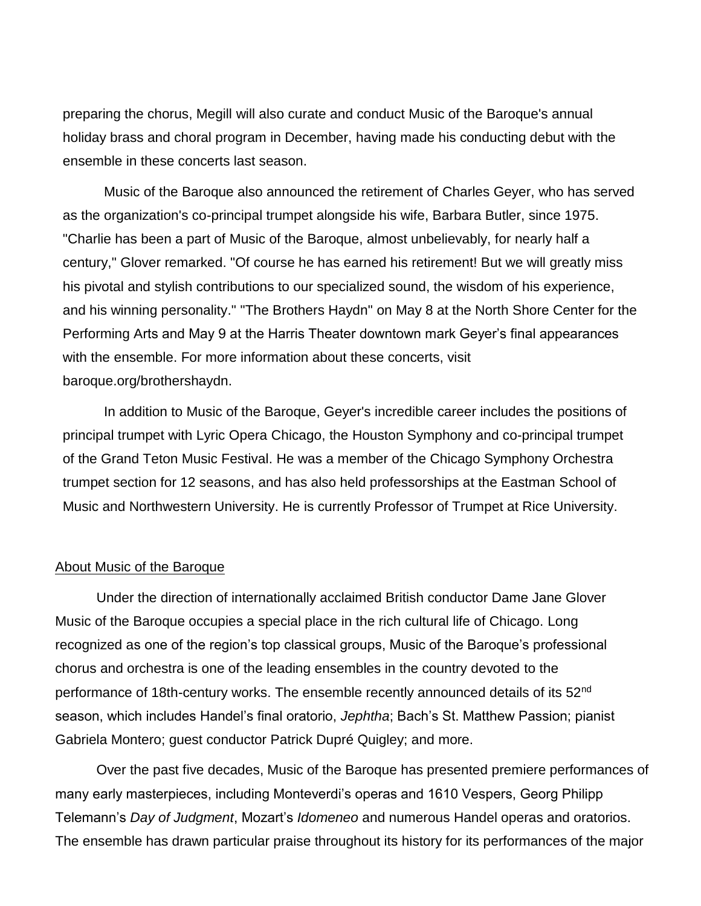preparing the chorus, Megill will also curate and conduct Music of the Baroque's annual holiday brass and choral program in December, having made his conducting debut with the ensemble in these concerts last season.

Music of the Baroque also announced the retirement of Charles Geyer, who has served as the organization's co-principal trumpet alongside his wife, Barbara Butler, since 1975. "Charlie has been a part of Music of the Baroque, almost unbelievably, for nearly half a century," Glover remarked. "Of course he has earned his retirement! But we will greatly miss his pivotal and stylish contributions to our specialized sound, the wisdom of his experience, and his winning personality." "The Brothers Haydn" on May 8 at the North Shore Center for the Performing Arts and May 9 at the Harris Theater downtown mark Geyer's final appearances with the ensemble. For more information about these concerts, visit baroque.org/brothershaydn.

In addition to Music of the Baroque, Geyer's incredible career includes the positions of principal trumpet with Lyric Opera Chicago, the Houston Symphony and co-principal trumpet of the Grand Teton Music Festival. He was a member of the Chicago Symphony Orchestra trumpet section for 12 seasons, and has also held professorships at the Eastman School of Music and Northwestern University. He is currently Professor of Trumpet at Rice University.

## About Music of the Baroque

Under the direction of internationally acclaimed British conductor Dame Jane Glover Music of the Baroque occupies a special place in the rich cultural life of Chicago. Long recognized as one of the region's top classical groups, Music of the Baroque's professional chorus and orchestra is one of the leading ensembles in the country devoted to the performance of 18th-century works. The ensemble recently announced details of its 52<sup>nd</sup> season, which includes Handel's final oratorio, *Jephtha*; Bach's St. Matthew Passion; pianist Gabriela Montero; guest conductor Patrick Dupré Quigley; and more.

Over the past five decades, Music of the Baroque has presented premiere performances of many early masterpieces, including Monteverdi's operas and 1610 Vespers, Georg Philipp Telemann's *Day of Judgment*, Mozart's *Idomeneo* and numerous Handel operas and oratorios. The ensemble has drawn particular praise throughout its history for its performances of the major